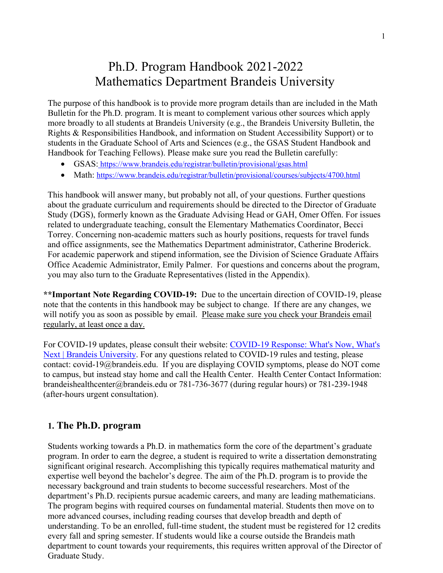# Ph.D. Program Handbook 2021-2022 Mathematics Department Brandeis University

The purpose of this handbook is to provide more program details than are included in the Math Bulletin for the Ph.D. program. It is meant to complement various other sources which apply more broadly to all students at Brandeis University (e.g., the Brandeis University Bulletin, the Rights & Responsibilities Handbook, and information on Student Accessibility Support) or to students in the Graduate School of Arts and Sciences (e.g., the GSAS Student Handbook and Handbook for Teaching Fellows). Please make sure you read the Bulletin carefully:

- GSAS: https://www.brandeis.edu/registrar/bulletin/provisional/gsas.html
- Math: https://www.brandeis.edu/registrar/bulletin/provisional/courses/subjects/4700.html

This handbook will answer many, but probably not all, of your questions. Further questions about the graduate curriculum and requirements should be directed to the Director of Graduate Study (DGS), formerly known as the Graduate Advising Head or GAH, Omer Offen. For issues related to undergraduate teaching, consult the Elementary Mathematics Coordinator, Becci Torrey. Concerning non-academic matters such as hourly positions, requests for travel funds and office assignments, see the Mathematics Department administrator, Catherine Broderick. For academic paperwork and stipend information, see the Division of Science Graduate Affairs Office Academic Administrator, Emily Palmer. For questions and concerns about the program, you may also turn to the Graduate Representatives (listed in the Appendix).

**\*\*Important Note Regarding COVID-19:** Due to the uncertain direction of COVID-19, please note that the contents in this handbook may be subject to change. If there are any changes, we will notify you as soon as possible by email. Please make sure you check your Brandeis email regularly, at least once a day.

For COVID-19 updates, please consult their website: COVID-19 Response: What's Now, What's Next | Brandeis University. For any questions related to COVID-19 rules and testing, please contact: covid-19@brandeis.edu. If you are displaying COVID symptoms, please do NOT come to campus, but instead stay home and call the Health Center. Health Center Contact Information: brandeishealthcenter@brandeis.edu or 781-736-3677 (during regular hours) or 781-239-1948 (after-hours urgent consultation).

#### **1. The Ph.D. program**

Students working towards a Ph.D. in mathematics form the core of the department's graduate program. In order to earn the degree, a student is required to write a dissertation demonstrating significant original research. Accomplishing this typically requires mathematical maturity and expertise well beyond the bachelor's degree. The aim of the Ph.D. program is to provide the necessary background and train students to become successful researchers. Most of the department's Ph.D. recipients pursue academic careers, and many are leading mathematicians. The program begins with required courses on fundamental material. Students then move on to more advanced courses, including reading courses that develop breadth and depth of understanding. To be an enrolled, full-time student, the student must be registered for 12 credits every fall and spring semester. If students would like a course outside the Brandeis math department to count towards your requirements, this requires written approval of the Director of Graduate Study.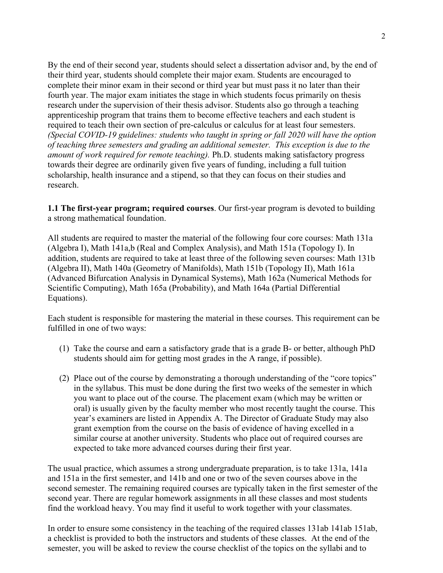By the end of their second year, students should select a dissertation advisor and, by the end of their third year, students should complete their major exam. Students are encouraged to complete their minor exam in their second or third year but must pass it no later than their fourth year. The major exam initiates the stage in which students focus primarily on thesis research under the supervision of their thesis advisor. Students also go through a teaching apprenticeship program that trains them to become effective teachers and each student is required to teach their own section of pre-calculus or calculus for at least four semesters. *(Special COVID-19 guidelines: students who taught in spring or fall 2020 will have the option of teaching three semesters and grading an additional semester. This exception is due to the amount of work required for remote teaching).* Ph.D. students making satisfactory progress towards their degree are ordinarily given five years of funding, including a full tuition scholarship, health insurance and a stipend, so that they can focus on their studies and research.

**1.1 The first-year program; required courses**. Our first-year program is devoted to building a strong mathematical foundation.

All students are required to master the material of the following four core courses: Math 131a (Algebra I), Math 141a,b (Real and Complex Analysis), and Math 151a (Topology I). In addition, students are required to take at least three of the following seven courses: Math 131b (Algebra II), Math 140a (Geometry of Manifolds), Math 151b (Topology II), Math 161a (Advanced Bifurcation Analysis in Dynamical Systems), Math 162a (Numerical Methods for Scientific Computing), Math 165a (Probability), and Math 164a (Partial Differential Equations).

Each student is responsible for mastering the material in these courses. This requirement can be fulfilled in one of two ways:

- (1) Take the course and earn a satisfactory grade that is a grade B- or better, although PhD students should aim for getting most grades in the A range, if possible).
- (2) Place out of the course by demonstrating a thorough understanding of the "core topics" in the syllabus. This must be done during the first two weeks of the semester in which you want to place out of the course. The placement exam (which may be written or oral) is usually given by the faculty member who most recently taught the course. This year's examiners are listed in Appendix A. The Director of Graduate Study may also grant exemption from the course on the basis of evidence of having excelled in a similar course at another university. Students who place out of required courses are expected to take more advanced courses during their first year.

The usual practice, which assumes a strong undergraduate preparation, is to take 131a, 141a and 151a in the first semester, and 141b and one or two of the seven courses above in the second semester. The remaining required courses are typically taken in the first semester of the second year. There are regular homework assignments in all these classes and most students find the workload heavy. You may find it useful to work together with your classmates.

In order to ensure some consistency in the teaching of the required classes 131ab 141ab 151ab, a checklist is provided to both the instructors and students of these classes. At the end of the semester, you will be asked to review the course checklist of the topics on the syllabi and to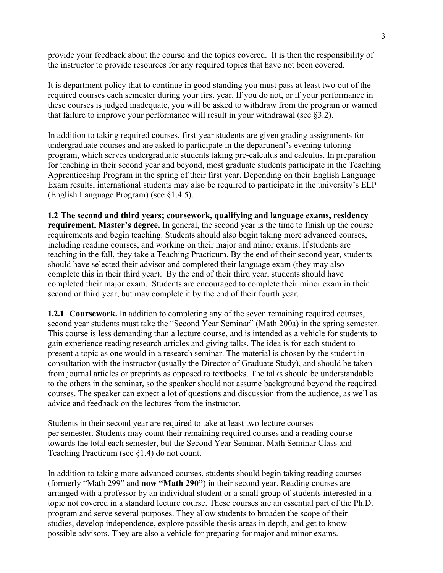provide your feedback about the course and the topics covered. It is then the responsibility of the instructor to provide resources for any required topics that have not been covered.

It is department policy that to continue in good standing you must pass at least two out of the required courses each semester during your first year. If you do not, or if your performance in these courses is judged inadequate, you will be asked to withdraw from the program or warned that failure to improve your performance will result in your withdrawal (see §3.2).

In addition to taking required courses, first-year students are given grading assignments for undergraduate courses and are asked to participate in the department's evening tutoring program, which serves undergraduate students taking pre-calculus and calculus. In preparation for teaching in their second year and beyond, most graduate students participate in the Teaching Apprenticeship Program in the spring of their first year. Depending on their English Language Exam results, international students may also be required to participate in the university's ELP (English Language Program) (see §1.4.5).

**1.2 The second and third years; coursework, qualifying and language exams, residency requirement, Master's degree.** In general, the second year is the time to finish up the course requirements and begin teaching. Students should also begin taking more advanced courses, including reading courses, and working on their major and minor exams. If students are teaching in the fall, they take a Teaching Practicum. By the end of their second year, students should have selected their advisor and completed their language exam (they may also complete this in their third year). By the end of their third year, students should have completed their major exam. Students are encouraged to complete their minor exam in their second or third year, but may complete it by the end of their fourth year.

**1.2.1 Coursework.** In addition to completing any of the seven remaining required courses, second year students must take the "Second Year Seminar" (Math 200a) in the spring semester. This course is less demanding than a lecture course, and is intended as a vehicle for students to gain experience reading research articles and giving talks. The idea is for each student to present a topic as one would in a research seminar. The material is chosen by the student in consultation with the instructor (usually the Director of Graduate Study), and should be taken from journal articles or preprints as opposed to textbooks. The talks should be understandable to the others in the seminar, so the speaker should not assume background beyond the required courses. The speaker can expect a lot of questions and discussion from the audience, as well as advice and feedback on the lectures from the instructor.

Students in their second year are required to take at least two lecture courses per semester. Students may count their remaining required courses and a reading course towards the total each semester, but the Second Year Seminar, Math Seminar Class and Teaching Practicum (see §1.4) do not count.

In addition to taking more advanced courses, students should begin taking reading courses (formerly "Math 299" and **now "Math 290"**) in their second year. Reading courses are arranged with a professor by an individual student or a small group of students interested in a topic not covered in a standard lecture course. These courses are an essential part of the Ph.D. program and serve several purposes. They allow students to broaden the scope of their studies, develop independence, explore possible thesis areas in depth, and get to know possible advisors. They are also a vehicle for preparing for major and minor exams.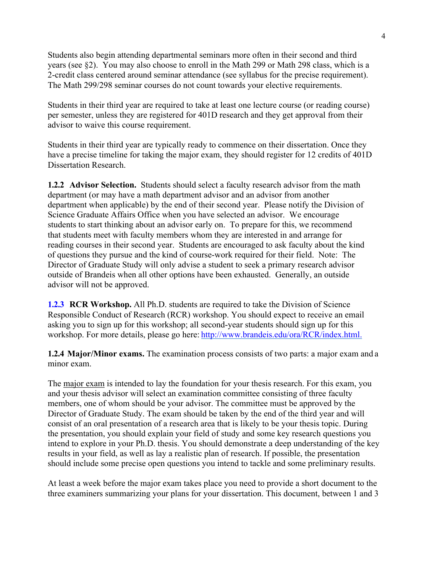Students also begin attending departmental seminars more often in their second and third years (see §2). You may also choose to enroll in the Math 299 or Math 298 class, which is a 2-credit class centered around seminar attendance (see syllabus for the precise requirement). The Math 299/298 seminar courses do not count towards your elective requirements.

Students in their third year are required to take at least one lecture course (or reading course) per semester, unless they are registered for 401D research and they get approval from their advisor to waive this course requirement.

Students in their third year are typically ready to commence on their dissertation. Once they have a precise timeline for taking the major exam, they should register for 12 credits of 401D Dissertation Research.

**1.2.2 Advisor Selection.** Students should select a faculty research advisor from the math department (or may have a math department advisor and an advisor from another department when applicable) by the end of their second year. Please notify the Division of Science Graduate Affairs Office when you have selected an advisor. We encourage students to start thinking about an advisor early on. To prepare for this, we recommend that students meet with faculty members whom they are interested in and arrange for reading courses in their second year. Students are encouraged to ask faculty about the kind of questions they pursue and the kind of course-work required for their field. Note: The Director of Graduate Study will only advise a student to seek a primary research advisor outside of Brandeis when all other options have been exhausted. Generally, an outside advisor will not be approved.

**1.2.3 RCR Workshop.** All Ph.D. students are required to take the Division of Science Responsible Conduct of Research (RCR) workshop. You should expect to receive an email asking you to sign up for this workshop; all second-year students should sign up for this workshop. For more details, please go here: http://www.brandeis.edu/ora/RCR/index.html.

**1.2.4 Major/Minor exams.** The examination process consists of two parts: a major exam and a minor exam.

The major exam is intended to lay the foundation for your thesis research. For this exam, you and your thesis advisor will select an examination committee consisting of three faculty members, one of whom should be your advisor. The committee must be approved by the Director of Graduate Study. The exam should be taken by the end of the third year and will consist of an oral presentation of a research area that is likely to be your thesis topic. During the presentation, you should explain your field of study and some key research questions you intend to explore in your Ph.D. thesis. You should demonstrate a deep understanding of the key results in your field, as well as lay a realistic plan of research. If possible, the presentation should include some precise open questions you intend to tackle and some preliminary results.

At least a week before the major exam takes place you need to provide a short document to the three examiners summarizing your plans for your dissertation. This document, between 1 and 3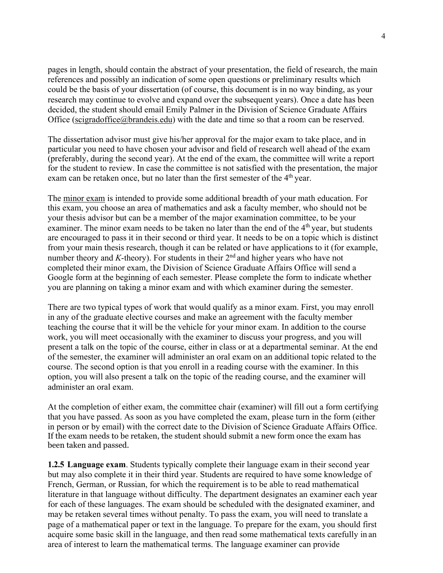pages in length, should contain the abstract of your presentation, the field of research, the main references and possibly an indication of some open questions or preliminary results which could be the basis of your dissertation (of course, this document is in no way binding, as your research may continue to evolve and expand over the subsequent years). Once a date has been decided, the student should email Emily Palmer in the Division of Science Graduate Affairs Office (scigradoffice@brandeis.edu) with the date and time so that a room can be reserved.

The dissertation advisor must give his/her approval for the major exam to take place, and in particular you need to have chosen your advisor and field of research well ahead of the exam (preferably, during the second year). At the end of the exam, the committee will write a report for the student to review. In case the committee is not satisfied with the presentation, the major exam can be retaken once, but no later than the first semester of the 4<sup>th</sup> year.

The minor exam is intended to provide some additional breadth of your math education. For this exam, you choose an area of mathematics and ask a faculty member, who should not be your thesis advisor but can be a member of the major examination committee, to be your examiner. The minor exam needs to be taken no later than the end of the  $4<sup>th</sup>$  year, but students are encouraged to pass it in their second or third year. It needs to be on a topic which is distinct from your main thesis research, though it can be related or have applications to it (for example, number theory and  $K$ -theory). For students in their  $2<sup>nd</sup>$  and higher years who have not completed their minor exam, the Division of Science Graduate Affairs Office will send a Google form at the beginning of each semester. Please complete the form to indicate whether you are planning on taking a minor exam and with which examiner during the semester.

There are two typical types of work that would qualify as a minor exam. First, you may enroll in any of the graduate elective courses and make an agreement with the faculty member teaching the course that it will be the vehicle for your minor exam. In addition to the course work, you will meet occasionally with the examiner to discuss your progress, and you will present a talk on the topic of the course, either in class or at a departmental seminar. At the end of the semester, the examiner will administer an oral exam on an additional topic related to the course. The second option is that you enroll in a reading course with the examiner. In this option, you will also present a talk on the topic of the reading course, and the examiner will administer an oral exam.

At the completion of either exam, the committee chair (examiner) will fill out a form certifying that you have passed. As soon as you have completed the exam, please turn in the form (either in person or by email) with the correct date to the Division of Science Graduate Affairs Office. If the exam needs to be retaken, the student should submit a new form once the exam has been taken and passed.

**1.2.5 Language exam**. Students typically complete their language exam in their second year but may also complete it in their third year. Students are required to have some knowledge of French, German, or Russian, for which the requirement is to be able to read mathematical literature in that language without difficulty. The department designates an examiner each year for each of these languages. The exam should be scheduled with the designated examiner, and may be retaken several times without penalty. To pass the exam, you will need to translate a page of a mathematical paper or text in the language. To prepare for the exam, you should first acquire some basic skill in the language, and then read some mathematical texts carefully in an area of interest to learn the mathematical terms. The language examiner can provide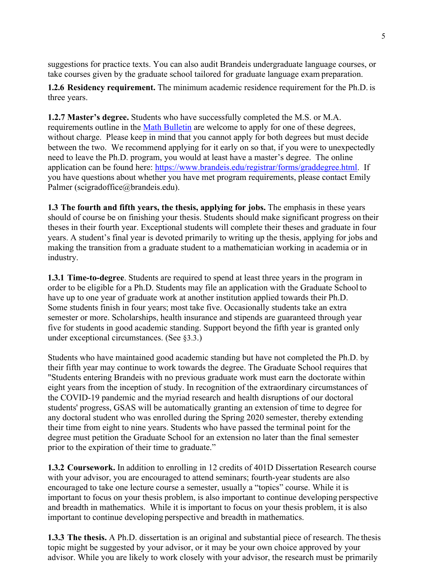suggestions for practice texts. You can also audit Brandeis undergraduate language courses, or take courses given by the graduate school tailored for graduate language exam preparation.

**1.2.6 Residency requirement.** The minimum academic residence requirement for the Ph.D. is three years.

**1.2.7 Master's degree.** Students who have successfully completed the M.S. or M.A. requirements outline in the Math Bulletin are welcome to apply for one of these degrees, without charge. Please keep in mind that you cannot apply for both degrees but must decide between the two. We recommend applying for it early on so that, if you were to unexpectedly need to leave the Ph.D. program, you would at least have a master's degree. The online application can be found here: https://www.brandeis.edu/registrar/forms/graddegree.html. If you have questions about whether you have met program requirements, please contact Emily Palmer (scigradoffice@brandeis.edu).

**1.3 The fourth and fifth years, the thesis, applying for jobs.** The emphasis in these years should of course be on finishing your thesis. Students should make significant progress on their theses in their fourth year. Exceptional students will complete their theses and graduate in four years. A student's final year is devoted primarily to writing up the thesis, applying for jobs and making the transition from a graduate student to a mathematician working in academia or in industry.

**1.3.1 Time-to-degree**. Students are required to spend at least three years in the program in order to be eligible for a Ph.D. Students may file an application with the Graduate School to have up to one year of graduate work at another institution applied towards their Ph.D. Some students finish in four years; most take five. Occasionally students take an extra semester or more. Scholarships, health insurance and stipends are guaranteed through year five for students in good academic standing. Support beyond the fifth year is granted only under exceptional circumstances. (See §3.3.)

Students who have maintained good academic standing but have not completed the Ph.D. by their fifth year may continue to work towards the degree. The Graduate School requires that "Students entering Brandeis with no previous graduate work must earn the doctorate within eight years from the inception of study. In recognition of the extraordinary circumstances of the COVID-19 pandemic and the myriad research and health disruptions of our doctoral students' progress, GSAS will be automatically granting an extension of time to degree for any doctoral student who was enrolled during the Spring 2020 semester, thereby extending their time from eight to nine years. Students who have passed the terminal point for the degree must petition the Graduate School for an extension no later than the final semester prior to the expiration of their time to graduate."

**1.3.2 Coursework.** In addition to enrolling in 12 credits of 401D Dissertation Research course with your advisor, you are encouraged to attend seminars; fourth-year students are also encouraged to take one lecture course a semester, usually a "topics" course. While it is important to focus on your thesis problem, is also important to continue developing perspective and breadth in mathematics. While it is important to focus on your thesis problem, it is also important to continue developing perspective and breadth in mathematics.

**1.3.3 The thesis.** A Ph.D. dissertation is an original and substantial piece of research. The thesis topic might be suggested by your advisor, or it may be your own choice approved by your advisor. While you are likely to work closely with your advisor, the research must be primarily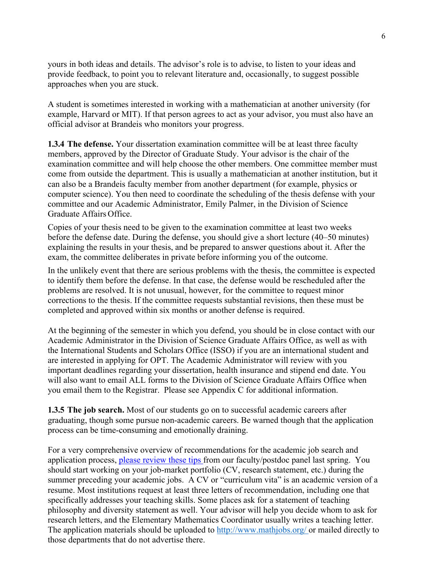yours in both ideas and details. The advisor's role is to advise, to listen to your ideas and provide feedback, to point you to relevant literature and, occasionally, to suggest possible approaches when you are stuck.

A student is sometimes interested in working with a mathematician at another university (for example, Harvard or MIT). If that person agrees to act as your advisor, you must also have an official advisor at Brandeis who monitors your progress.

**1.3.4 The defense.** Your dissertation examination committee will be at least three faculty members, approved by the Director of Graduate Study. Your advisor is the chair of the examination committee and will help choose the other members. One committee member must come from outside the department. This is usually a mathematician at another institution, but it can also be a Brandeis faculty member from another department (for example, physics or computer science). You then need to coordinate the scheduling of the thesis defense with your committee and our Academic Administrator, Emily Palmer, in the Division of Science Graduate Affairs Office.

Copies of your thesis need to be given to the examination committee at least two weeks before the defense date. During the defense, you should give a short lecture (40–50 minutes) explaining the results in your thesis, and be prepared to answer questions about it. After the exam, the committee deliberates in private before informing you of the outcome.

In the unlikely event that there are serious problems with the thesis, the committee is expected to identify them before the defense. In that case, the defense would be rescheduled after the problems are resolved. It is not unusual, however, for the committee to request minor corrections to the thesis. If the committee requests substantial revisions, then these must be completed and approved within six months or another defense is required.

At the beginning of the semester in which you defend, you should be in close contact with our Academic Administrator in the Division of Science Graduate Affairs Office, as well as with the International Students and Scholars Office (ISSO) if you are an international student and are interested in applying for OPT. The Academic Administrator will review with you important deadlines regarding your dissertation, health insurance and stipend end date. You will also want to email ALL forms to the Division of Science Graduate Affairs Office when you email them to the Registrar. Please see Appendix C for additional information.

**1.3.5 The job search.** Most of our students go on to successful academic careers after graduating, though some pursue non-academic careers. Be warned though that the application process can be time-consuming and emotionally draining.

For a very comprehensive overview of recommendations for the academic job search and application process, please review these tips from our faculty/postdoc panel last spring. You should start working on your job-market portfolio (CV, research statement, etc.) during the summer preceding your academic jobs. A CV or "curriculum vita" is an academic version of a resume. Most institutions request at least three letters of recommendation, including one that specifically addresses your teaching skills. Some places ask for a statement of teaching philosophy and diversity statement as well. Your advisor will help you decide whom to ask for research letters, and the Elementary Mathematics Coordinator usually writes a teaching letter. The application materials should be uploaded to http://www.mathjobs.org/ or mailed directly to those departments that do not advertise there.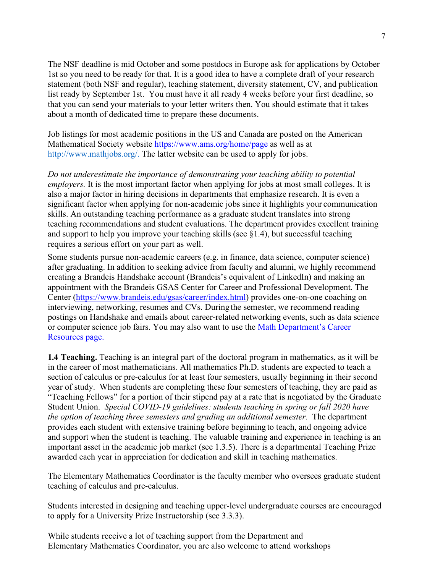The NSF deadline is mid October and some postdocs in Europe ask for applications by October 1st so you need to be ready for that. It is a good idea to have a complete draft of your research statement (both NSF and regular), teaching statement, diversity statement, CV, and publication list ready by September 1st. You must have it all ready 4 weeks before your first deadline, so that you can send your materials to your letter writers then. You should estimate that it takes about a month of dedicated time to prepare these documents.

Job listings for most academic positions in the US and Canada are posted on the American Mathematical Society website https://www.ams.org/home/page as well as at http://www.mathjobs.org/. The latter website can be used to apply for jobs.

*Do not underestimate the importance of demonstrating your teaching ability to potential employers.* It is the most important factor when applying for jobs at most small colleges. It is also a major factor in hiring decisions in departments that emphasize research. It is even a significant factor when applying for non-academic jobs since it highlights your communication skills. An outstanding teaching performance as a graduate student translates into strong teaching recommendations and student evaluations. The department provides excellent training and support to help you improve your teaching skills (see §1.4), but successful teaching requires a serious effort on your part as well.

Some students pursue non-academic careers (e.g. in finance, data science, computer science) after graduating. In addition to seeking advice from faculty and alumni, we highly recommend creating a Brandeis Handshake account (Brandeis's equivalent of LinkedIn) and making an appointment with the Brandeis GSAS Center for Career and Professional Development. The Center (https://www.brandeis.edu/gsas/career/index.html) provides one-on-one coaching on interviewing, networking, resumes and CVs. During the semester, we recommend reading postings on Handshake and emails about career-related networking events, such as data science or computer science job fairs. You may also want to use the Math Department's Career Resources page.

**1.4 Teaching.** Teaching is an integral part of the doctoral program in mathematics, as it will be in the career of most mathematicians. All mathematics Ph.D. students are expected to teach a section of calculus or pre-calculus for at least four semesters, usually beginning in their second year of study. When students are completing these four semesters of teaching, they are paid as "Teaching Fellows" for a portion of their stipend pay at a rate that is negotiated by the Graduate Student Union. *Special COVID-19 guidelines: students teaching in spring or fall 2020 have the option of teaching three semesters and grading an additional semester.* The department provides each student with extensive training before beginning to teach, and ongoing advice and support when the student is teaching. The valuable training and experience in teaching is an important asset in the academic job market (see 1.3.5). There is a departmental Teaching Prize awarded each year in appreciation for dedication and skill in teaching mathematics.

The Elementary Mathematics Coordinator is the faculty member who oversees graduate student teaching of calculus and pre-calculus.

Students interested in designing and teaching upper-level undergraduate courses are encouraged to apply for a University Prize Instructorship (see 3.3.3).

While students receive a lot of teaching support from the Department and Elementary Mathematics Coordinator, you are also welcome to attend workshops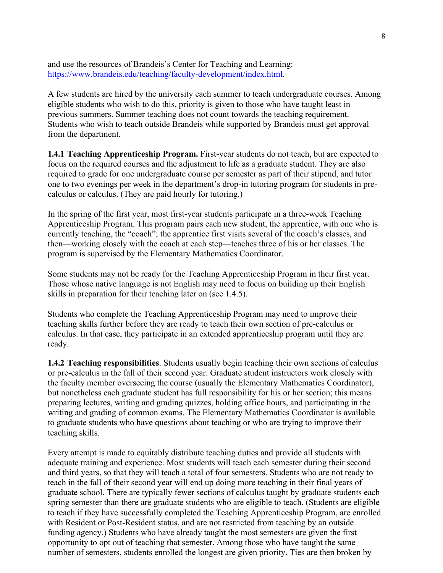and use the resources of Brandeis's Center for Teaching and Learning: https://www.brandeis.edu/teaching/faculty-development/index.html.

A few students are hired by the university each summer to teach undergraduate courses. Among eligible students who wish to do this, priority is given to those who have taught least in previous summers. Summer teaching does not count towards the teaching requirement. Students who wish to teach outside Brandeis while supported by Brandeis must get approval from the department.

**1.4.1 Teaching Apprenticeship Program.** First-year students do not teach, but are expected to focus on the required courses and the adjustment to life as a graduate student. They are also required to grade for one undergraduate course per semester as part of their stipend, and tutor one to two evenings per week in the department's drop-in tutoring program for students in precalculus or calculus. (They are paid hourly for tutoring.)

In the spring of the first year, most first-year students participate in a three-week Teaching Apprenticeship Program. This program pairs each new student, the apprentice, with one who is currently teaching, the "coach"; the apprentice first visits several of the coach's classes, and then—working closely with the coach at each step—teaches three of his or her classes. The program is supervised by the Elementary Mathematics Coordinator.

Some students may not be ready for the Teaching Apprenticeship Program in their first year. Those whose native language is not English may need to focus on building up their English skills in preparation for their teaching later on (see 1.4.5).

Students who complete the Teaching Apprenticeship Program may need to improve their teaching skills further before they are ready to teach their own section of pre-calculus or calculus. In that case, they participate in an extended apprenticeship program until they are ready.

**1.4.2 Teaching responsibilities**. Students usually begin teaching their own sections of calculus or pre-calculus in the fall of their second year. Graduate student instructors work closely with the faculty member overseeing the course (usually the Elementary Mathematics Coordinator), but nonetheless each graduate student has full responsibility for his or her section; this means preparing lectures, writing and grading quizzes, holding office hours, and participating in the writing and grading of common exams. The Elementary Mathematics Coordinator is available to graduate students who have questions about teaching or who are trying to improve their teaching skills.

Every attempt is made to equitably distribute teaching duties and provide all students with adequate training and experience. Most students will teach each semester during their second and third years, so that they will teach a total of four semesters. Students who are not ready to teach in the fall of their second year will end up doing more teaching in their final years of graduate school. There are typically fewer sections of calculus taught by graduate students each spring semester than there are graduate students who are eligible to teach. (Students are eligible to teach if they have successfully completed the Teaching Apprenticeship Program, are enrolled with Resident or Post-Resident status, and are not restricted from teaching by an outside funding agency.) Students who have already taught the most semesters are given the first opportunity to opt out of teaching that semester. Among those who have taught the same number of semesters, students enrolled the longest are given priority. Ties are then broken by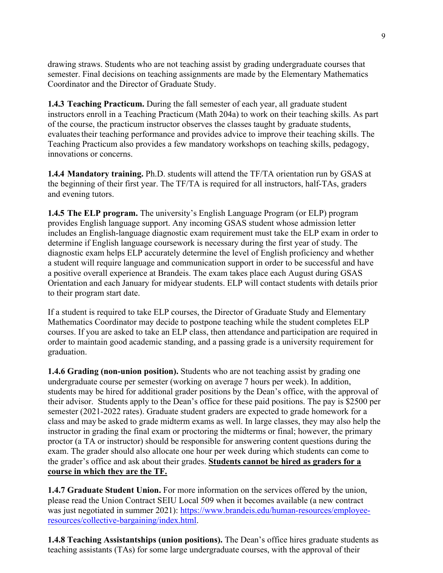drawing straws. Students who are not teaching assist by grading undergraduate courses that semester. Final decisions on teaching assignments are made by the Elementary Mathematics Coordinator and the Director of Graduate Study.

**1.4.3 Teaching Practicum.** During the fall semester of each year, all graduate student instructors enroll in a Teaching Practicum (Math 204a) to work on their teaching skills. As part of the course, the practicum instructor observes the classes taught by graduate students, evaluates their teaching performance and provides advice to improve their teaching skills. The Teaching Practicum also provides a few mandatory workshops on teaching skills, pedagogy, innovations or concerns.

**1.4.4 Mandatory training.** Ph.D. students will attend the TF/TA orientation run by GSAS at the beginning of their first year. The TF/TA is required for all instructors, half-TAs, graders and evening tutors.

**1.4.5 The ELP program.** The university's English Language Program (or ELP) program provides English language support. Any incoming GSAS student whose admission letter includes an English-language diagnostic exam requirement must take the ELP exam in order to determine if English language coursework is necessary during the first year of study. The diagnostic exam helps ELP accurately determine the level of English proficiency and whether a student will require language and communication support in order to be successful and have a positive overall experience at Brandeis. The exam takes place each August during GSAS Orientation and each January for midyear students. ELP will contact students with details prior to their program start date.

If a student is required to take ELP courses, the Director of Graduate Study and Elementary Mathematics Coordinator may decide to postpone teaching while the student completes ELP courses. If you are asked to take an ELP class, then attendance and participation are required in order to maintain good academic standing, and a passing grade is a university requirement for graduation.

**1.4.6 Grading (non-union position).** Students who are not teaching assist by grading one undergraduate course per semester (working on average 7 hours per week). In addition, students may be hired for additional grader positions by the Dean's office, with the approval of their advisor. Students apply to the Dean's office for these paid positions. The pay is \$2500 per semester (2021-2022 rates). Graduate student graders are expected to grade homework for a class and may be asked to grade midterm exams as well. In large classes, they may also help the instructor in grading the final exam or proctoring the midterms or final; however, the primary proctor (a TA or instructor) should be responsible for answering content questions during the exam. The grader should also allocate one hour per week during which students can come to the grader's office and ask about their grades. **Students cannot be hired as graders for a course in which they are the TF.**

**1.4.7 Graduate Student Union.** For more information on the services offered by the union, please read the Union Contract SEIU Local 509 when it becomes available (a new contract was just negotiated in summer 2021): https://www.brandeis.edu/human-resources/employeeresources/collective-bargaining/index.html.

**1.4.8 Teaching Assistantships (union positions).** The Dean's office hires graduate students as teaching assistants (TAs) for some large undergraduate courses, with the approval of their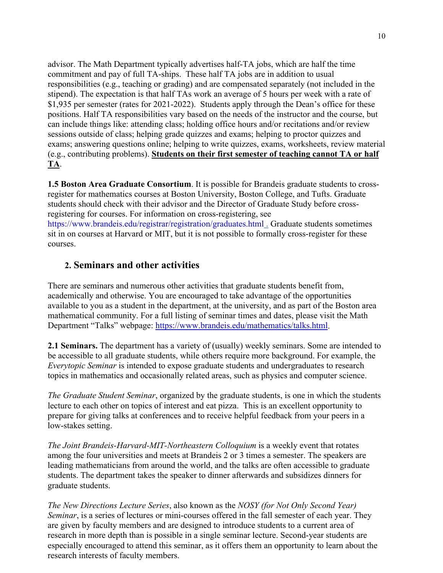advisor. The Math Department typically advertises half-TA jobs, which are half the time commitment and pay of full TA-ships. These half TA jobs are in addition to usual responsibilities (e.g., teaching or grading) and are compensated separately (not included in the stipend). The expectation is that half TAs work an average of 5 hours per week with a rate of \$1,935 per semester (rates for 2021-2022). Students apply through the Dean's office for these positions. Half TA responsibilities vary based on the needs of the instructor and the course, but can include things like: attending class; holding office hours and/or recitations and/or review sessions outside of class; helping grade quizzes and exams; helping to proctor quizzes and exams; answering questions online; helping to write quizzes, exams, worksheets, review material (e.g., contributing problems). **Students on their first semester of teaching cannot TA or half TA**.

**1.5 Boston Area Graduate Consortium**. It is possible for Brandeis graduate students to crossregister for mathematics courses at Boston University, Boston College, and Tufts. Graduate students should check with their advisor and the Director of Graduate Study before crossregistering for courses. For information on cross-registering, see

https://www.brandeis.edu/registrar/registration/graduates.html . Graduate students sometimes sit in on courses at Harvard or MIT, but it is not possible to formally cross-register for these courses.

#### **2. Seminars and other activities**

There are seminars and numerous other activities that graduate students benefit from, academically and otherwise. You are encouraged to take advantage of the opportunities available to you as a student in the department, at the university, and as part of the Boston area mathematical community. For a full listing of seminar times and dates, please visit the Math Department "Talks" webpage: https://www.brandeis.edu/mathematics/talks.html.

**2.1 Seminars.** The department has a variety of (usually) weekly seminars. Some are intended to be accessible to all graduate students, while others require more background. For example, the *Everytopic Seminar* is intended to expose graduate students and undergraduates to research topics in mathematics and occasionally related areas, such as physics and computer science.

*The Graduate Student Seminar*, organized by the graduate students, is one in which the students lecture to each other on topics of interest and eat pizza. This is an excellent opportunity to prepare for giving talks at conferences and to receive helpful feedback from your peers in a low-stakes setting.

*The Joint Brandeis-Harvard-MIT-Northeastern Colloquium* is a weekly event that rotates among the four universities and meets at Brandeis 2 or 3 times a semester. The speakers are leading mathematicians from around the world, and the talks are often accessible to graduate students. The department takes the speaker to dinner afterwards and subsidizes dinners for graduate students.

*The New Directions Lecture Series*, also known as the *NOSY (for Not Only Second Year) Seminar*, is a series of lectures or mini-courses offered in the fall semester of each year. They are given by faculty members and are designed to introduce students to a current area of research in more depth than is possible in a single seminar lecture. Second-year students are especially encouraged to attend this seminar, as it offers them an opportunity to learn about the research interests of faculty members.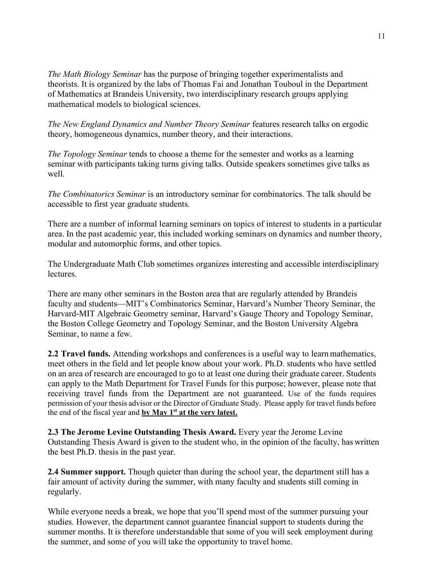*The Math Biology Seminar* has the purpose of bringing together experimentalists and theorists. It is organized by the labs of Thomas Fai and Jonathan Touboul in the Department of Mathematics at Brandeis University, two interdisciplinary research groups applying mathematical models to biological sciences.

*The New England Dynamics and Number Theory Seminar* features research talks on ergodic theory, homogeneous dynamics, number theory, and their interactions.

*The Topology Seminar* tends to choose a theme for the semester and works as a learning seminar with participants taking turns giving talks. Outside speakers sometimes give talks as well.

*The Combinatorics Seminar* is an introductory seminar for combinatorics. The talk should be accessible to first year graduate students.

There are a number of informal learning seminars on topics of interest to students in a particular area. In the past academic year, this included working seminars on dynamics and number theory, modular and automorphic forms, and other topics.

The Undergraduate Math Club sometimes organizes interesting and accessible interdisciplinary lectures.

There are many other seminars in the Boston area that are regularly attended by Brandeis faculty and students—MIT's Combinatorics Seminar, Harvard's Number Theory Seminar, the Harvard-MIT Algebraic Geometry seminar, Harvard's Gauge Theory and Topology Seminar, the Boston College Geometry and Topology Seminar, and the Boston University Algebra Seminar, to name a few.

**2.2 Travel funds.** Attending workshops and conferences is a useful way to learn mathematics, meet others in the field and let people know about your work. Ph.D. students who have settled on an area of research are encouraged to go to at least one during their graduate career. Students can apply to the Math Department for Travel Funds for this purpose; however, please note that receiving travel funds from the Department are not guaranteed. Use of the funds requires permission of your thesis advisor or the Director of Graduate Study. Please apply for travel funds before the end of the fiscal year and **by May 1st at the very latest.**

**2.3 The Jerome Levine Outstanding Thesis Award.** Every year the Jerome Levine Outstanding Thesis Award is given to the student who, in the opinion of the faculty, has written the best Ph.D. thesis in the past year.

**2.4 Summer support.** Though quieter than during the school year, the department still has a fair amount of activity during the summer, with many faculty and students still coming in regularly.

While everyone needs a break, we hope that you'll spend most of the summer pursuing your studies. However, the department cannot guarantee financial support to students during the summer months. It is therefore understandable that some of you will seek employment during the summer, and some of you will take the opportunity to travel home.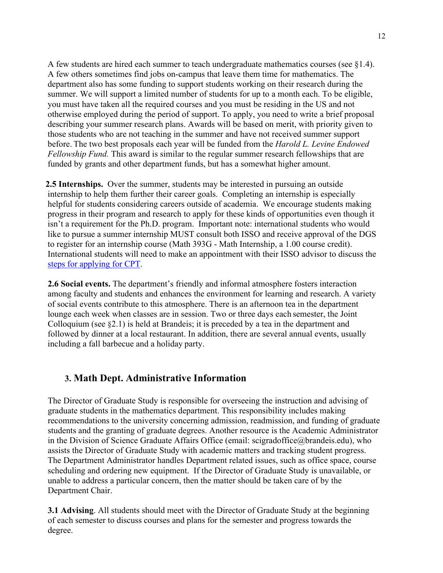A few students are hired each summer to teach undergraduate mathematics courses (see §1.4). A few others sometimes find jobs on-campus that leave them time for mathematics. The department also has some funding to support students working on their research during the summer. We will support a limited number of students for up to a month each. To be eligible, you must have taken all the required courses and you must be residing in the US and not otherwise employed during the period of support. To apply, you need to write a brief proposal describing your summer research plans. Awards will be based on merit, with priority given to those students who are not teaching in the summer and have not received summer support before. The two best proposals each year will be funded from the *Harold L. Levine Endowed Fellowship Fund.* This award is similar to the regular summer research fellowships that are funded by grants and other department funds, but has a somewhat higher amount.

 **2.5 Internships.** Over the summer, students may be interested in pursuing an outside internship to help them further their career goals. Completing an internship is especially helpful for students considering careers outside of academia. We encourage students making progress in their program and research to apply for these kinds of opportunities even though it isn't a requirement for the Ph.D. program. Important note: international students who would like to pursue a summer internship MUST consult both ISSO and receive approval of the DGS to register for an internship course (Math 393G - Math Internship, a 1.00 course credit). International students will need to make an appointment with their ISSO advisor to discuss the steps for applying for CPT.

**2.6 Social events.** The department's friendly and informal atmosphere fosters interaction among faculty and students and enhances the environment for learning and research. A variety of social events contribute to this atmosphere. There is an afternoon tea in the department lounge each week when classes are in session. Two or three days each semester, the Joint Colloquium (see §2.1) is held at Brandeis; it is preceded by a tea in the department and followed by dinner at a local restaurant. In addition, there are several annual events, usually including a fall barbecue and a holiday party.

#### **3. Math Dept. Administrative Information**

The Director of Graduate Study is responsible for overseeing the instruction and advising of graduate students in the mathematics department. This responsibility includes making recommendations to the university concerning admission, readmission, and funding of graduate students and the granting of graduate degrees. Another resource is the Academic Administrator in the Division of Science Graduate Affairs Office (email: scigradoffice@brandeis.edu), who assists the Director of Graduate Study with academic matters and tracking student progress. The Department Administrator handles Department related issues, such as office space, course scheduling and ordering new equipment. If the Director of Graduate Study is unavailable, or unable to address a particular concern, then the matter should be taken care of by the Department Chair.

**3.1 Advising**. All students should meet with the Director of Graduate Study at the beginning of each semester to discuss courses and plans for the semester and progress towards the degree.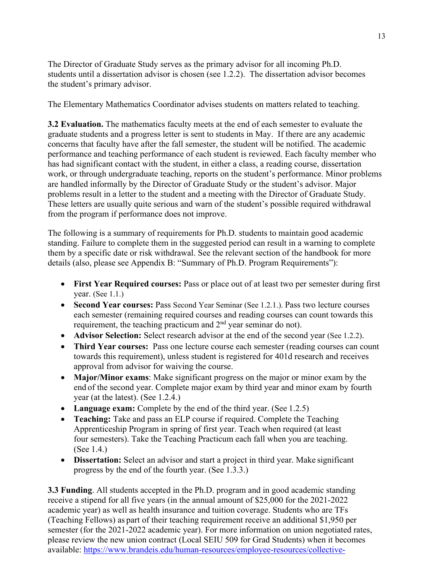The Director of Graduate Study serves as the primary advisor for all incoming Ph.D. students until a dissertation advisor is chosen (see 1.2.2). The dissertation advisor becomes the student's primary advisor.

The Elementary Mathematics Coordinator advises students on matters related to teaching.

**3.2 Evaluation.** The mathematics faculty meets at the end of each semester to evaluate the graduate students and a progress letter is sent to students in May. If there are any academic concerns that faculty have after the fall semester, the student will be notified. The academic performance and teaching performance of each student is reviewed. Each faculty member who has had significant contact with the student, in either a class, a reading course, dissertation work, or through undergraduate teaching, reports on the student's performance. Minor problems are handled informally by the Director of Graduate Study or the student's advisor. Major problems result in a letter to the student and a meeting with the Director of Graduate Study. These letters are usually quite serious and warn of the student's possible required withdrawal from the program if performance does not improve.

The following is a summary of requirements for Ph.D. students to maintain good academic standing. Failure to complete them in the suggested period can result in a warning to complete them by a specific date or risk withdrawal. See the relevant section of the handbook for more details (also, please see Appendix B: "Summary of Ph.D. Program Requirements"):

- **First Year Required courses:** Pass or place out of at least two per semester during first year. (See 1.1.)
- **Second Year courses:** Pass Second Year Seminar (See 1.2.1.). Pass two lecture courses each semester (remaining required courses and reading courses can count towards this requirement, the teaching practicum and  $2<sup>nd</sup>$  year seminar do not).
- **Advisor Selection:** Select research advisor at the end of the second year (See 1.2.2).
- **Third Year courses:** Pass one lecture course each semester (reading courses can count towards this requirement), unless student is registered for 401d research and receives approval from advisor for waiving the course.
- **Major/Minor exams**: Make significant progress on the major or minor exam by the end of the second year. Complete major exam by third year and minor exam by fourth year (at the latest). (See 1.2.4.)
- Language exam: Complete by the end of the third year. (See 1.2.5)
- **Teaching:** Take and pass an ELP course if required. Complete the Teaching Apprenticeship Program in spring of first year. Teach when required (at least four semesters). Take the Teaching Practicum each fall when you are teaching. (See 1.4.)
- **Dissertation:** Select an advisor and start a project in third year. Make significant progress by the end of the fourth year. (See 1.3.3.)

**3.3 Funding**. All students accepted in the Ph.D. program and in good academic standing receive a stipend for all five years (in the annual amount of \$25,000 for the 2021-2022 academic year) as well as health insurance and tuition coverage. Students who are TFs (Teaching Fellows) as part of their teaching requirement receive an additional \$1,950 per semester (for the 2021-2022 academic year). For more information on union negotiated rates, please review the new union contract (Local SEIU 509 for Grad Students) when it becomes available: https://www.brandeis.edu/human-resources/employee-resources/collective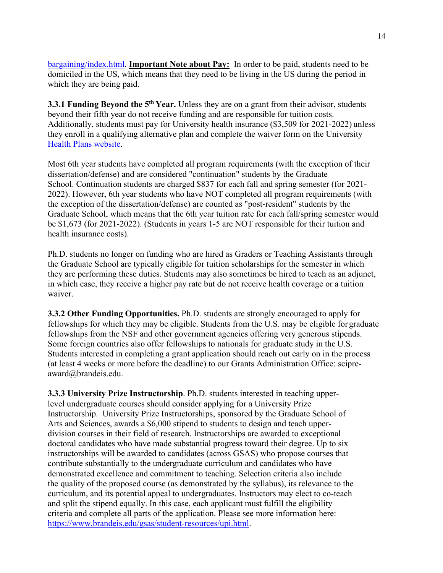bargaining/index.html. **Important Note about Pay:** In order to be paid, students need to be domiciled in the US, which means that they need to be living in the US during the period in which they are being paid.

**3.3.1 Funding Beyond the 5<sup>th</sup> Year.** Unless they are on a grant from their advisor, students beyond their fifth year do not receive funding and are responsible for tuition costs. Additionally, students must pay for University health insurance (\$3,509 for 2021-2022) unless they enroll in a qualifying alternative plan and complete the waiver form on the University Health Plans website.

Most 6th year students have completed all program requirements (with the exception of their dissertation/defense) and are considered "continuation" students by the Graduate School. Continuation students are charged \$837 for each fall and spring semester (for 2021- 2022). However, 6th year students who have NOT completed all program requirements (with the exception of the dissertation/defense) are counted as "post-resident" students by the Graduate School, which means that the 6th year tuition rate for each fall/spring semester would be \$1,673 (for 2021-2022). (Students in years 1-5 are NOT responsible for their tuition and health insurance costs).

Ph.D. students no longer on funding who are hired as Graders or Teaching Assistants through the Graduate School are typically eligible for tuition scholarships for the semester in which they are performing these duties. Students may also sometimes be hired to teach as an adjunct, in which case, they receive a higher pay rate but do not receive health coverage or a tuition waiver.

**3.3.2 Other Funding Opportunities.** Ph.D. students are strongly encouraged to apply for fellowships for which they may be eligible. Students from the U.S. may be eligible for graduate fellowships from the NSF and other government agencies offering very generous stipends. Some foreign countries also offer fellowships to nationals for graduate study in the U.S. Students interested in completing a grant application should reach out early on in the process (at least 4 weeks or more before the deadline) to our Grants Administration Office: scipreaward@brandeis.edu.

**3.3.3 University Prize Instructorship**. Ph.D. students interested in teaching upperlevel undergraduate courses should consider applying for a University Prize Instructorship. University Prize Instructorships, sponsored by the Graduate School of Arts and Sciences, awards a \$6,000 stipend to students to design and teach upperdivision courses in their field of research. Instructorships are awarded to exceptional doctoral candidates who have made substantial progress toward their degree. Up to six instructorships will be awarded to candidates (across GSAS) who propose courses that contribute substantially to the undergraduate curriculum and candidates who have demonstrated excellence and commitment to teaching. Selection criteria also include the quality of the proposed course (as demonstrated by the syllabus), its relevance to the curriculum, and its potential appeal to undergraduates. Instructors may elect to co-teach and split the stipend equally. In this case, each applicant must fulfill the eligibility criteria and complete all parts of the application. Please see more information here: https://www.brandeis.edu/gsas/student-resources/upi.html.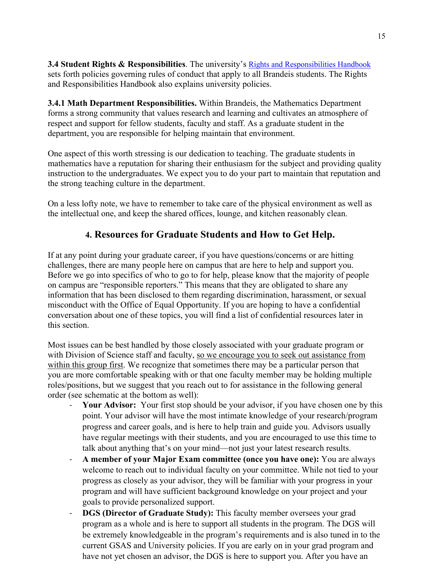**3.4 Student Rights & Responsibilities**. The university's Rights and Responsibilities Handbook sets forth policies governing rules of conduct that apply to all Brandeis students. The Rights and Responsibilities Handbook also explains university policies.

**3.4.1 Math Department Responsibilities.** Within Brandeis, the Mathematics Department forms a strong community that values research and learning and cultivates an atmosphere of respect and support for fellow students, faculty and staff. As a graduate student in the department, you are responsible for helping maintain that environment.

One aspect of this worth stressing is our dedication to teaching. The graduate students in mathematics have a reputation for sharing their enthusiasm for the subject and providing quality instruction to the undergraduates. We expect you to do your part to maintain that reputation and the strong teaching culture in the department.

On a less lofty note, we have to remember to take care of the physical environment as well as the intellectual one, and keep the shared offices, lounge, and kitchen reasonably clean.

# **4. Resources for Graduate Students and How to Get Help.**

If at any point during your graduate career, if you have questions/concerns or are hitting challenges, there are many people here on campus that are here to help and support you. Before we go into specifics of who to go to for help, please know that the majority of people on campus are "responsible reporters." This means that they are obligated to share any information that has been disclosed to them regarding discrimination, harassment, or sexual misconduct with the Office of Equal Opportunity. If you are hoping to have a confidential conversation about one of these topics, you will find a list of confidential resources later in this section.

Most issues can be best handled by those closely associated with your graduate program or with Division of Science staff and faculty, so we encourage you to seek out assistance from within this group first. We recognize that sometimes there may be a particular person that you are more comfortable speaking with or that one faculty member may be holding multiple roles/positions, but we suggest that you reach out to for assistance in the following general order (see schematic at the bottom as well):

- Your Advisor: Your first stop should be your advisor, if you have chosen one by this point. Your advisor will have the most intimate knowledge of your research/program progress and career goals, and is here to help train and guide you. Advisors usually have regular meetings with their students, and you are encouraged to use this time to talk about anything that's on your mind—not just your latest research results.
- **A member of your Major Exam committee (once you have one):** You are always welcome to reach out to individual faculty on your committee. While not tied to your progress as closely as your advisor, they will be familiar with your progress in your program and will have sufficient background knowledge on your project and your goals to provide personalized support.
- **DGS (Director of Graduate Study):** This faculty member oversees your grad program as a whole and is here to support all students in the program. The DGS will be extremely knowledgeable in the program's requirements and is also tuned in to the current GSAS and University policies. If you are early on in your grad program and have not yet chosen an advisor, the DGS is here to support you. After you have an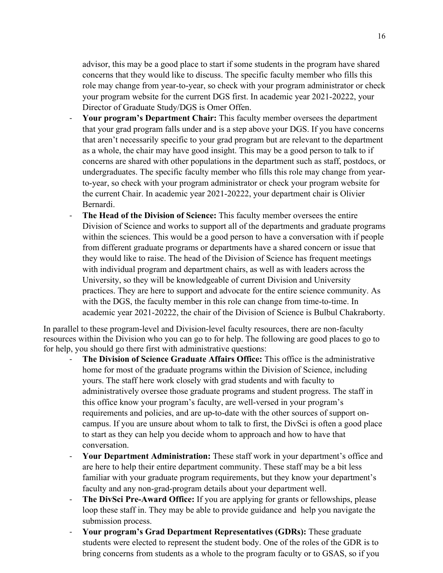advisor, this may be a good place to start if some students in the program have shared concerns that they would like to discuss. The specific faculty member who fills this role may change from year-to-year, so check with your program administrator or check your program website for the current DGS first. In academic year 2021-20222, your Director of Graduate Study/DGS is Omer Offen.

- Your program's Department Chair: This faculty member oversees the department that your grad program falls under and is a step above your DGS. If you have concerns that aren't necessarily specific to your grad program but are relevant to the department as a whole, the chair may have good insight. This may be a good person to talk to if concerns are shared with other populations in the department such as staff, postdocs, or undergraduates. The specific faculty member who fills this role may change from yearto-year, so check with your program administrator or check your program website for the current Chair. In academic year 2021-20222, your department chair is Olivier Bernardi.
- **The Head of the Division of Science:** This faculty member oversees the entire Division of Science and works to support all of the departments and graduate programs within the sciences. This would be a good person to have a conversation with if people from different graduate programs or departments have a shared concern or issue that they would like to raise. The head of the Division of Science has frequent meetings with individual program and department chairs, as well as with leaders across the University, so they will be knowledgeable of current Division and University practices. They are here to support and advocate for the entire science community. As with the DGS, the faculty member in this role can change from time-to-time. In academic year 2021-20222, the chair of the Division of Science is Bulbul Chakraborty.

In parallel to these program-level and Division-level faculty resources, there are non-faculty resources within the Division who you can go to for help. The following are good places to go to for help, you should go there first with administrative questions:

- **The Division of Science Graduate Affairs Office:** This office is the administrative home for most of the graduate programs within the Division of Science, including yours. The staff here work closely with grad students and with faculty to administratively oversee those graduate programs and student progress. The staff in this office know your program's faculty, are well-versed in your program's requirements and policies, and are up-to-date with the other sources of support oncampus. If you are unsure about whom to talk to first, the DivSci is often a good place to start as they can help you decide whom to approach and how to have that conversation.
- **Your Department Administration:** These staff work in your department's office and are here to help their entire department community. These staff may be a bit less familiar with your graduate program requirements, but they know your department's faculty and any non-grad-program details about your department well.
- **The DivSci Pre-Award Office:** If you are applying for grants or fellowships, please loop these staff in. They may be able to provide guidance and help you navigate the submission process.
- **Your program's Grad Department Representatives (GDRs):** These graduate students were elected to represent the student body. One of the roles of the GDR is to bring concerns from students as a whole to the program faculty or to GSAS, so if you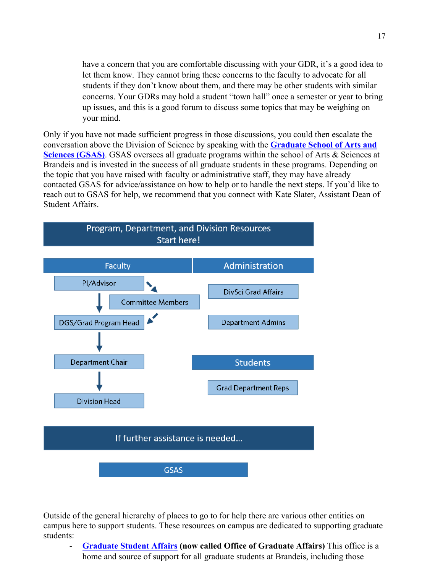have a concern that you are comfortable discussing with your GDR, it's a good idea to let them know. They cannot bring these concerns to the faculty to advocate for all students if they don't know about them, and there may be other students with similar concerns. Your GDRs may hold a student "town hall" once a semester or year to bring up issues, and this is a good forum to discuss some topics that may be weighing on your mind.

Only if you have not made sufficient progress in those discussions, you could then escalate the conversation above the Division of Science by speaking with the **Graduate School of Arts and Sciences (GSAS)**. GSAS oversees all graduate programs within the school of Arts & Sciences at Brandeis and is invested in the success of all graduate students in these programs. Depending on the topic that you have raised with faculty or administrative staff, they may have already contacted GSAS for advice/assistance on how to help or to handle the next steps. If you'd like to reach out to GSAS for help, we recommend that you connect with Kate Slater, Assistant Dean of Student Affairs.



Outside of the general hierarchy of places to go to for help there are various other entities on campus here to support students. These resources on campus are dedicated to supporting graduate students:

- **Graduate Student Affairs (now called Office of Graduate Affairs)** This office is a home and source of support for all graduate students at Brandeis, including those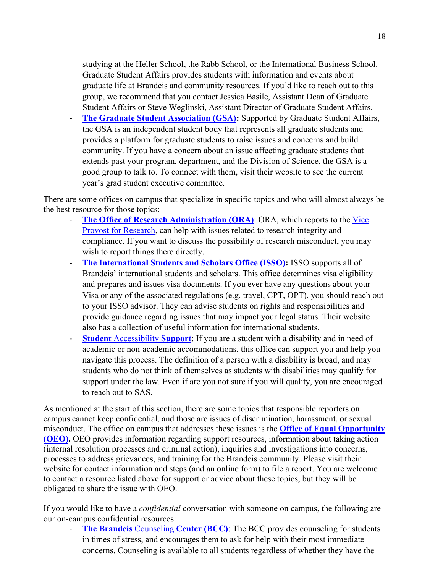studying at the Heller School, the Rabb School, or the International Business School. Graduate Student Affairs provides students with information and events about graduate life at Brandeis and community resources. If you'd like to reach out to this group, we recommend that you contact Jessica Basile, Assistant Dean of Graduate Student Affairs or Steve Weglinski, Assistant Director of Graduate Student Affairs.

The Graduate Student Association (GSA): Supported by Graduate Student Affairs, the GSA is an independent student body that represents all graduate students and provides a platform for graduate students to raise issues and concerns and build community. If you have a concern about an issue affecting graduate students that extends past your program, department, and the Division of Science, the GSA is a good group to talk to. To connect with them, visit their website to see the current year's grad student executive committee.

There are some offices on campus that specialize in specific topics and who will almost always be the best resource for those topics:

- **The Office of Research Administration (ORA): ORA, which reports to the Vice** Provost for Research, can help with issues related to research integrity and compliance. If you want to discuss the possibility of research misconduct, you may wish to report things there directly.
- **The International Students and Scholars Office (ISSO):** ISSO supports all of Brandeis' international students and scholars. This office determines visa eligibility and prepares and issues visa documents. If you ever have any questions about your Visa or any of the associated regulations (e.g. travel, CPT, OPT), you should reach out to your ISSO advisor. They can advise students on rights and responsibilities and provide guidance regarding issues that may impact your legal status. Their website also has a collection of useful information for international students.
- **Student** Accessibility **Support**: If you are a student with a disability and in need of academic or non-academic accommodations, this office can support you and help you navigate this process. The definition of a person with a disability is broad, and may students who do not think of themselves as students with disabilities may qualify for support under the law. Even if are you not sure if you will quality, you are encouraged to reach out to SAS.

As mentioned at the start of this section, there are some topics that responsible reporters on campus cannot keep confidential, and those are issues of discrimination, harassment, or sexual misconduct. The office on campus that addresses these issues is the **Office of Equal Opportunity (OEO).** OEO provides information regarding support resources, information about taking action (internal resolution processes and criminal action), inquiries and investigations into concerns, processes to address grievances, and training for the Brandeis community. Please visit their website for contact information and steps (and an online form) to file a report. You are welcome to contact a resource listed above for support or advice about these topics, but they will be obligated to share the issue with OEO.

If you would like to have a *confidential* conversation with someone on campus, the following are our on-campus confidential resources:

- **The Brandeis** Counseling **Center (BCC)**: The BCC provides counseling for students in times of stress, and encourages them to ask for help with their most immediate concerns. Counseling is available to all students regardless of whether they have the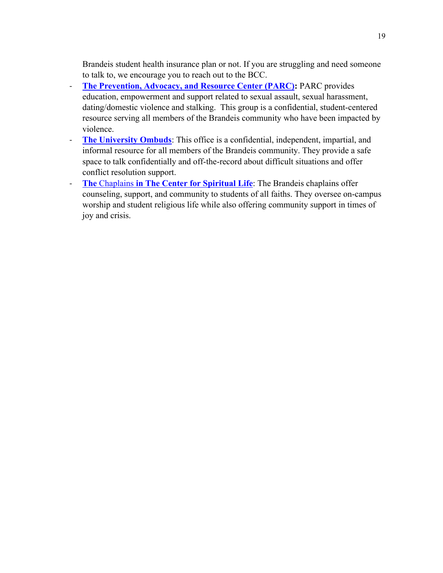Brandeis student health insurance plan or not. If you are struggling and need someone to talk to, we encourage you to reach out to the BCC.

- **The Prevention, Advocacy, and Resource Center (PARC):** PARC provides education, empowerment and support related to sexual assault, sexual harassment, dating/domestic violence and stalking. This group is a confidential, student-centered resource serving all members of the Brandeis community who have been impacted by violence.
- **The University Ombuds**: This office is a confidential, independent, impartial, and informal resource for all members of the Brandeis community. They provide a safe space to talk confidentially and off-the-record about difficult situations and offer conflict resolution support.
- **The** Chaplains **in The Center for Spiritual Life**: The Brandeis chaplains offer counseling, support, and community to students of all faiths. They oversee on-campus worship and student religious life while also offering community support in times of joy and crisis.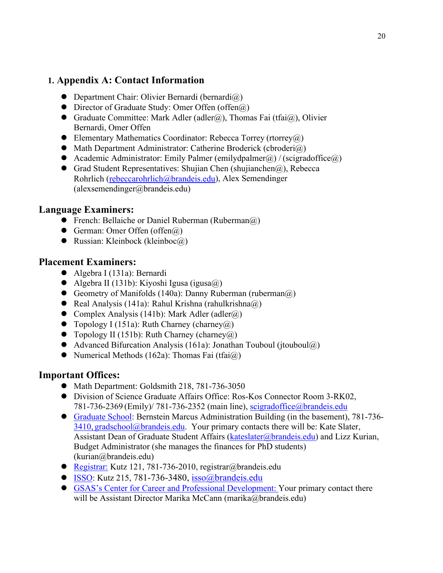### **1. Appendix A: Contact Information**

- $\bullet$  Department Chair: Olivier Bernardi (bernardi $\omega$ )
- Director of Graduate Study: Omer Offen (offen@)
- Graduate Committee: Mark Adler (adler@), Thomas Fai (tfai@), Olivier Bernardi, Omer Offen
- $\bullet$  Elementary Mathematics Coordinator: Rebecca Torrey (rtorrey $\omega$ )
- $\bullet$  Math Department Administrator: Catherine Broderick (cbroderi $\omega$ )
- Academic Administrator: Emily Palmer (emilydpalmer $(\hat{\alpha})$  / (scigradoffice $(\hat{\alpha})$ )
- Grad Student Representatives: Shujian Chen (shujianchen $(a)$ ), Rebecca Rohrlich (rebeccarohrlich@brandeis.edu), Alex Semendinger (alexsemendinger@brandeis.edu)

#### **Language Examiners:**

- **•** French: Bellaiche or Daniel Ruberman (Ruberman $(\widehat{a})$ )
- German: Omer Offen (offen $(a)$ )
- Russian: Kleinbock (kleinboc $\widehat{a}$ )

### **Placement Examiners:**

- Algebra I (131a): Bernardi
- $\bullet$  Algebra II (131b): Kiyoshi Igusa (igusa $\omega$ )
- Geometry of Manifolds (140a): Danny Ruberman (ruberman $(a)$ )
- Real Analysis (141a): Rahul Krishna (rahulkrishna $\omega$ )
- Complex Analysis (141b): Mark Adler (adler $(\hat{\omega})$ )
- $\bullet$  Topology I (151a): Ruth Charney (charney  $\omega$ )
- $\bullet$  Topology II (151b): Ruth Charney (charney  $\widehat{a}$ )
- Advanced Bifurcation Analysis (161a): Jonathan Touboul (jtouboul@)
- $\bullet$  Numerical Methods (162a): Thomas Fai (tfai $(\hat{a})$ )

# **Important Offices:**

- $\bullet$  Math Department: Goldsmith 218, 781-736-3050
- Division of Science Graduate Affairs Office: Ros-Kos Connector Room 3-RK02, 781-736-2369 (Emily)/ 781-736-2352 (main line), scigradoffice@brandeis.edu
- Graduate School: Bernstein Marcus Administration Building (in the basement), 781-736-  $3410$ , gradschool@brandeis.edu. Your primary contacts there will be: Kate Slater, Assistant Dean of Graduate Student Affairs (kateslater@brandeis.edu) and Lizz Kurian, Budget Administrator (she manages the finances for PhD students) (kurian@brandeis.edu)
- Registrar: Kutz 121, 781-736-2010, registrar@brandeis.edu
- ISSO: Kutz 215, 781-736-3480, isso@brandeis.edu
- GSAS's Center for Career and Professional Development: Your primary contact there will be Assistant Director Marika McCann (marika@brandeis.edu)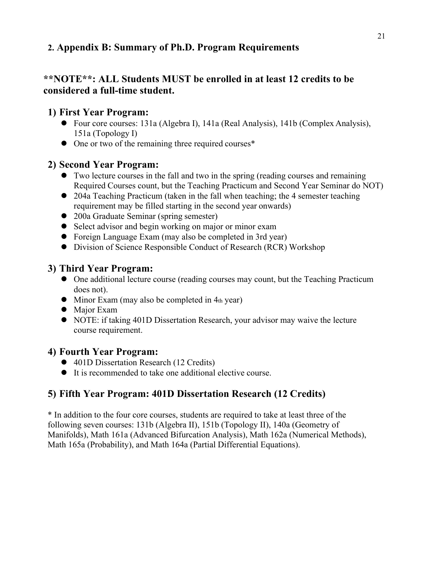# **2. Appendix B: Summary of Ph.D. Program Requirements**

# **\*\*NOTE\*\*: ALL Students MUST be enrolled in at least 12 credits to be considered a full-time student.**

# **1) First Year Program:**

- Four core courses: 131a (Algebra I), 141a (Real Analysis), 141b (Complex Analysis), 151a (Topology I)
- $\bullet$  One or two of the remaining three required courses\*

### **2) Second Year Program:**

- Two lecture courses in the fall and two in the spring (reading courses and remaining Required Courses count, but the Teaching Practicum and Second Year Seminar do NOT)
- 204a Teaching Practicum (taken in the fall when teaching; the 4 semester teaching requirement may be filled starting in the second year onwards)
- 200a Graduate Seminar (spring semester)
- Select advisor and begin working on major or minor exam
- Foreign Language Exam (may also be completed in 3rd year)
- Division of Science Responsible Conduct of Research (RCR) Workshop

### **3) Third Year Program:**

- One additional lecture course (reading courses may count, but the Teaching Practicum does not).
- $\bullet$  Minor Exam (may also be completed in 4th year)
- Major Exam
- NOTE: if taking 401D Dissertation Research, your advisor may waive the lecture course requirement.

# **4) Fourth Year Program:**

- 401D Dissertation Research (12 Credits)
- It is recommended to take one additional elective course.

# **5) Fifth Year Program: 401D Dissertation Research (12 Credits)**

\* In addition to the four core courses, students are required to take at least three of the following seven courses: 131b (Algebra II), 151b (Topology II), 140a (Geometry of Manifolds), Math 161a (Advanced Bifurcation Analysis), Math 162a (Numerical Methods), Math 165a (Probability), and Math 164a (Partial Differential Equations).